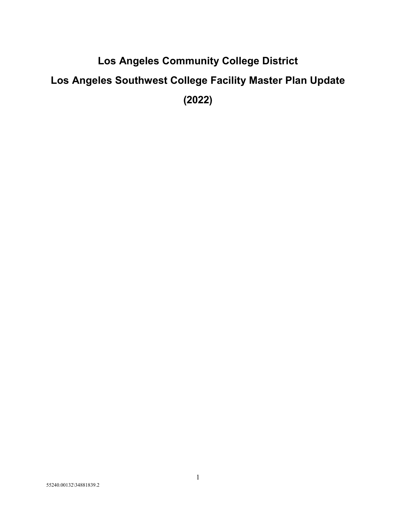# **Los Angeles Community College District Los Angeles Southwest College Facility Master Plan Update (2022)**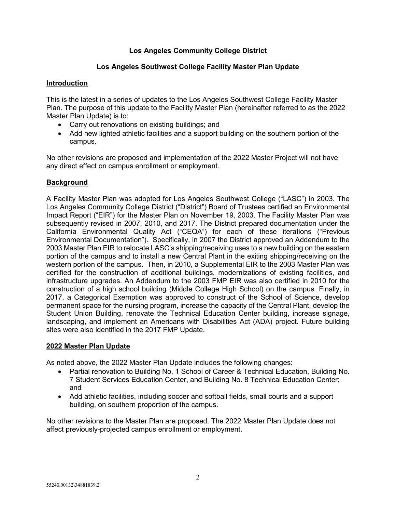# **Los Angeles Community College District**

# **Los Angeles Southwest College Facility Master Plan Update**

# **Introduction**

This is the latest in a series of updates to the Los Angeles Southwest College Facility Master Plan. The purpose of this update to the Facility Master Plan (hereinafter referred to as the 2022 Master Plan Update) is to:

- Carry out renovations on existing buildings; and
- Add new lighted athletic facilities and a support building on the southern portion of the campus.

No other revisions are proposed and implementation of the 2022 Master Project will not have any direct effect on campus enrollment or employment.

# **Background**

A Facility Master Plan was adopted for Los Angeles Southwest College ("LASC") in 2003. The Los Angeles Community College District ("District") Board of Trustees certified an Environmental Impact Report ("EIR") for the Master Plan on November 19, 2003. The Facility Master Plan was subsequently revised in 2007, 2010, and 2017. The District prepared documentation under the California Environmental Quality Act ("CEQA") for each of these iterations ("Previous Environmental Documentation"). Specifically, in 2007 the District approved an Addendum to the 2003 Master Plan EIR to relocate LASC's shipping/receiving uses to a new building on the eastern portion of the campus and to install a new Central Plant in the exiting shipping/receiving on the western portion of the campus. Then, in 2010, a Supplemental EIR to the 2003 Master Plan was certified for the construction of additional buildings, modernizations of existing facilities, and infrastructure upgrades. An Addendum to the 2003 FMP EIR was also certified in 2010 for the construction of a high school building (Middle College High School) on the campus. Finally, in 2017, a Categorical Exemption was approved to construct of the School of Science, develop permanent space for the nursing program, increase the capacity of the Central Plant, develop the Student Union Building, renovate the Technical Education Center building, increase signage, landscaping, and implement an Americans with Disabilities Act (ADA) project. Future building sites were also identified in the 2017 FMP Update.

# **2022 Master Plan Update**

As noted above, the 2022 Master Plan Update includes the following changes:

- Partial renovation to Building No. 1 School of Career & Technical Education, Building No. 7 Student Services Education Center, and Building No. 8 Technical Education Center; and
- Add athletic facilities, including soccer and softball fields, small courts and a support building, on southern proportion of the campus.

No other revisions to the Master Plan are proposed. The 2022 Master Plan Update does not affect previously-projected campus enrollment or employment.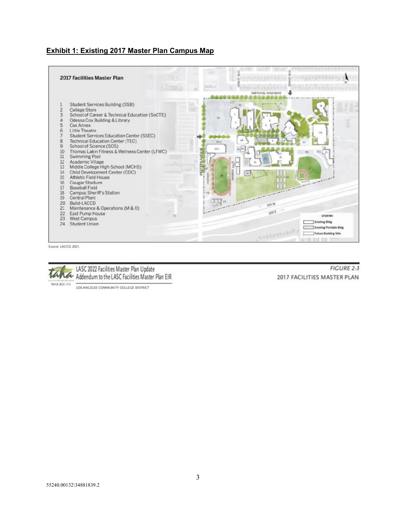## **Exhibit 1: Existing 2017 Master Plan Campus Map**



Source: LACCD, 2021.



LASC 2022 Facilities Master Plan Update Addendum to the LASC Facilities Master Plan EIR

LOS ANGELES COMMUNITY COLLEGE DISTRICT

**FIGURE 2-3** 2017 FACILITIES MASTER PLAN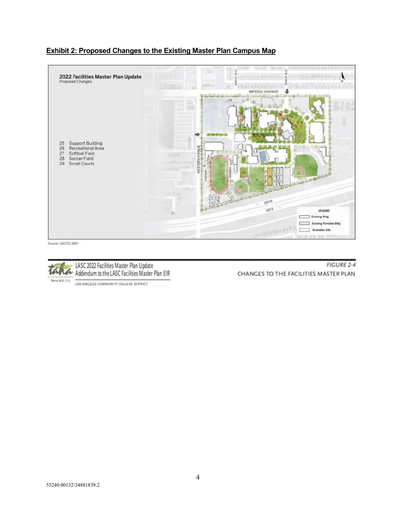# **Exhibit 2: Proposed Changes to the Existing Master Plan Campus Map**



Source: LACCD, 2021.



Taha LASC 2022 Facilities Master Plan Update<br>Taha Addendum to the LASC Facilities Master Plan EIR

LOS ANGELES COMMUNITY COLLEGE DISTRICT

**FIGURE 2-4** CHANGES TO THE FACILITIES MASTER PLAN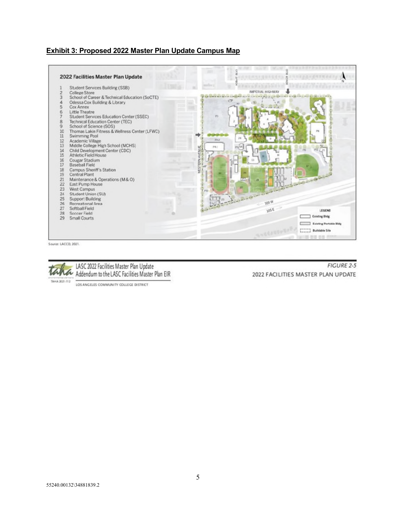## **Exhibit 3: Proposed 2022 Master Plan Update Campus Map**



Source: LACCD, 2021.



LASC 2022 Facilities Master Plan Update TAMA Addendum to the LASC Facilities Master Plan EIR

**FIGURE 2-5** 2022 FACILITIES MASTER PLAN UPDATE

LOS ANGELES COMMUNITY COLLEGE DISTRICT